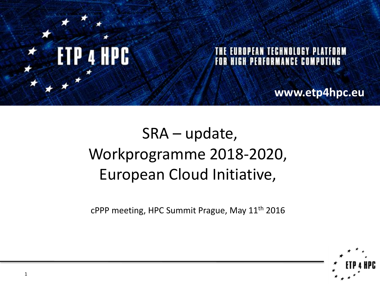

# SRA – update, Workprogramme 2018-2020, European Cloud Initiative,

cPPP meeting, HPC Summit Prague, May 11th 2016

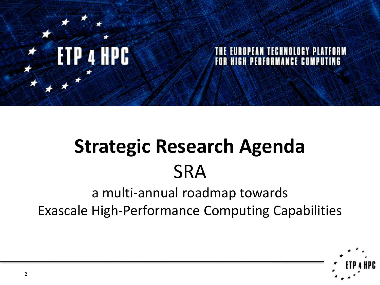

## **EUROPEAN TECHNOLOGY PLATFORM FOR HIGH PERFORMANCE COMPUTING**

# **Strategic Research Agenda SRA**

## a multi-annual roadmap towards Exascale High-Performance Computing Capabilities

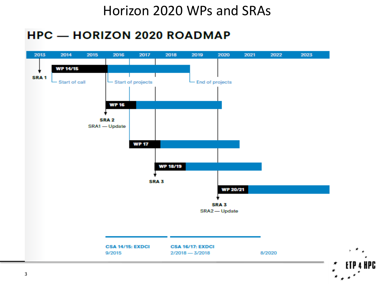## Horizon 2020 WPs and SRAs

## **HPC - HORIZON 2020 ROADMAP**



IPC.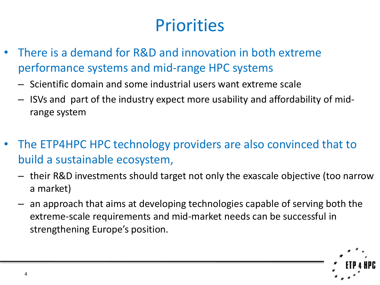# **Priorities**

- There is a demand for R&D and innovation in both extreme performance systems and mid-range HPC systems
	- Scientific domain and some industrial users want extreme scale
	- ISVs and part of the industry expect more usability and affordability of midrange system
- The ETP4HPC HPC technology providers are also convinced that to build a sustainable ecosystem,
	- their R&D investments should target not only the exascale objective (too narrow a market)
	- an approach that aims at developing technologies capable of serving both the extreme-scale requirements and mid-market needs can be successful in strengthening Europe's position.

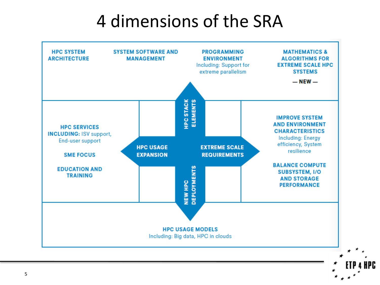# 4 dimensions of the SRA



HPC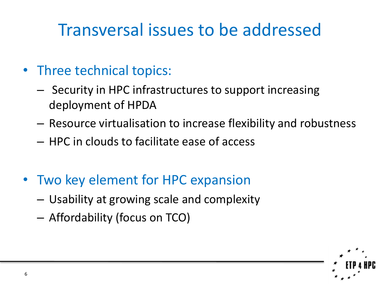# Transversal issues to be addressed

- Three technical topics:
	- Security in HPC infrastructures to support increasing deployment of HPDA
	- Resource virtualisation to increase flexibility and robustness
	- HPC in clouds to facilitate ease of access
- Two key element for HPC expansion
	- Usability at growing scale and complexity
	- Affordability (focus on TCO)

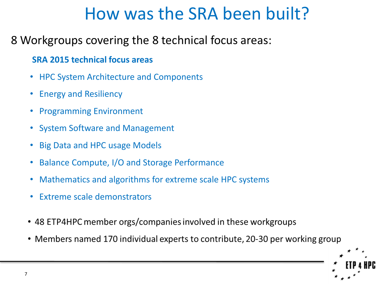# How was the SRA been built?

## 8 Workgroups covering the 8 technical focus areas:

### **SRA 2015 technical focus areas**

- HPC System Architecture and Components
- Energy and Resiliency
- Programming Environment
- System Software and Management
- Big Data and HPC usage Models
- Balance Compute, I/O and Storage Performance
- Mathematics and algorithms for extreme scale HPC systems
- Extreme scale demonstrators
- 48 ETP4HPC member orgs/companies involved in these workgroups
- Members named 170 individual experts to contribute, 20-30 per working group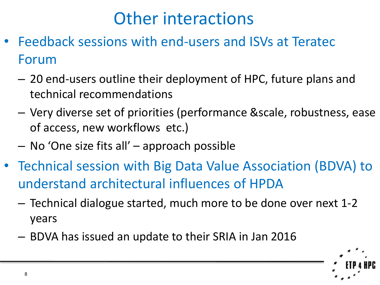# Other interactions

- Feedback sessions with end-users and ISVs at Teratec Forum
	- 20 end-users outline their deployment of HPC, future plans and technical recommendations
	- Very diverse set of priorities (performance &scale, robustness, ease of access, new workflows etc.)
	- No 'One size fits all' approach possible
- Technical session with Big Data Value Association (BDVA) to understand architectural influences of HPDA
	- Technical dialogue started, much more to be done over next 1-2 years
	- BDVA has issued an update to their SRIA in Jan 2016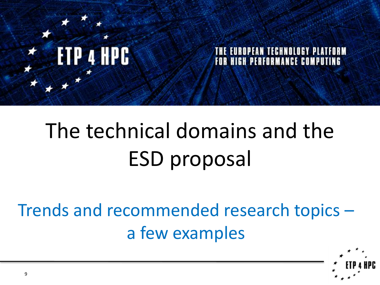

### TECHNOLOGY PLATFORM EA NI FOR HIGH PERFORMANCE COMPUTING

# The technical domains and the ESD proposal

Trends and recommended research topics – a few examples

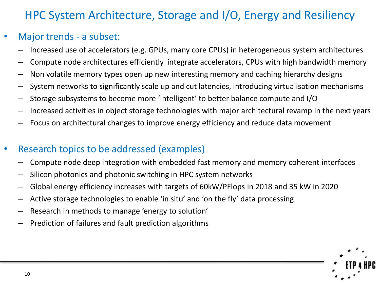## HPC System Architecture, Storage and I/O, Energy and Resiliency

## Major trends - a subset:

- Increased use of accelerators (e.g. GPUs, many core CPUs) in heterogeneous system architectures
- Compute node architectures efficiently integrate accelerators, CPUs with high bandwidth memory
- Non volatile memory types open up new interesting memory and caching hierarchy designs
- System networks to significantly scale up and cut latencies, introducing virtualisation mechanisms
- Storage subsystems to become more 'intelligent' to better balance compute and I/O
- Increased activities in object storage technologies with major architectural revamp in the next years
- Focus on architectural changes to improve energy efficiency and reduce data movement

## • Research topics to be addressed (examples)

- Compute node deep integration with embedded fast memory and memory coherent interfaces
- Silicon photonics and photonic switching in HPC system networks
- Global energy efficiency increases with targets of 60kW/PFlops in 2018 and 35 kW in 2020
- Active storage technologies to enable 'in situ' and 'on the fly' data processing
- Research in methods to manage 'energy to solution'
- Prediction of failures and fault prediction algorithms

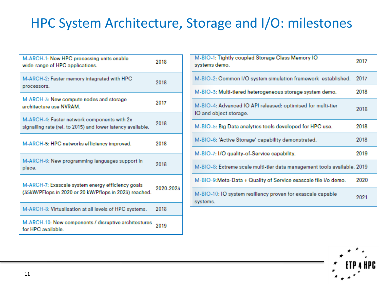## HPC System Architecture, Storage and I/O: milestones

| M-ARCH-1: New HPC processing units enable<br>wide-range of HPC applications.                                | 2018      |  |  |
|-------------------------------------------------------------------------------------------------------------|-----------|--|--|
| M-ARCH-2: Faster memory integrated with HPC<br>processors.                                                  | 2018      |  |  |
| M-ARCH-3: New compute nodes and storage<br>architecture use NVRAM.                                          | 2017      |  |  |
| M-ARCH-4: Faster network components with 2x<br>signalling rate (rel. to 2015) and lower latency available.  | 2018      |  |  |
| M-ARCH-5: HPC networks efficiency improved.                                                                 | 2018      |  |  |
| M-ARCH-6: New programming languages support in<br>place.                                                    | 2018      |  |  |
| M-ARCH-7: Exascale system energy efficiency goals<br>(35kW/PFlops in 2020 or 20 kW/Pflops in 2023) reached. | 2020-2023 |  |  |
| M-ARCH-8: Virtualisation at all levels of HPC systems.                                                      | 2018      |  |  |
| M-ARCH-10: New components / disruptive architectures<br>for HPC available.                                  | 2019      |  |  |

| M-BIO-1: Tightly coupled Storage Class Memory IO<br>systems demo.                     |      |  |  |  |  |  |  |
|---------------------------------------------------------------------------------------|------|--|--|--|--|--|--|
| M-BIO-2: Common I/O system simulation framework established.                          | 2017 |  |  |  |  |  |  |
| M-BIO-3: Multi-tiered heterogeneous storage system demo.                              | 2018 |  |  |  |  |  |  |
| M-BIO-4: Advanced IO API released: optimised for multi-tier<br>IO and object storage. | 2018 |  |  |  |  |  |  |
| M-BIO-5: Big Data analytics tools developed for HPC use.                              | 2018 |  |  |  |  |  |  |
| M-BIO-6: 'Active Storage' capability demonstrated.                                    | 2018 |  |  |  |  |  |  |
| M-BIO-7: I/O quality-of-Service capability.                                           | 2019 |  |  |  |  |  |  |
| M-BIO-8: Extreme scale multi-tier data management tools available. 2019               |      |  |  |  |  |  |  |
| M-BIO-9:Meta-Data + Quality of Service exascale file i/o demo.                        | 2020 |  |  |  |  |  |  |
| M-BIO-10: IO system resiliency proven for exascale capable<br>systems.                | 2021 |  |  |  |  |  |  |

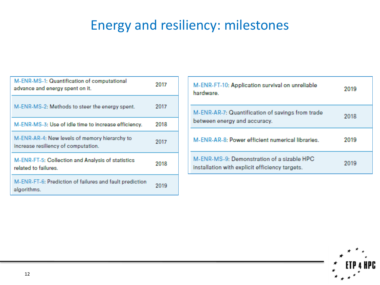## Energy and resiliency: milestones

| M-ENR-MS-1: Quantification of computational<br>advance and energy spent on it.       | 2017 |
|--------------------------------------------------------------------------------------|------|
| M-ENR-MS-2: Methods to steer the energy spent.                                       | 2017 |
| M-ENR-MS-3: Use of idle time to increase efficiency.                                 | 2018 |
| M-ENR-AR-4: New levels of memory hierarchy to<br>increase resiliency of computation. | 2017 |
| M-ENR-FT-5: Collection and Analysis of statistics<br>related to failures.            | 2018 |
| M-ENR-FT-6: Prediction of failures and fault prediction<br>algorithms.               | 2019 |

| M-ENR-FT-10: Application survival on unreliable<br>hardware.                                 | 2019 |
|----------------------------------------------------------------------------------------------|------|
| M-ENR-AR-7: Quantification of savings from trade<br>between energy and accuracy.             | 2018 |
| M-ENR-AR-8: Power efficient numerical libraries.                                             | 2019 |
| M-ENR-MS-9: Demonstration of a sizable HPC<br>installation with explicit efficiency targets. | 2019 |

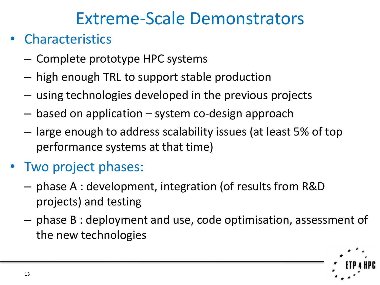# Extreme-Scale Demonstrators

## **Characteristics**

- Complete prototype HPC systems
- high enough TRL to support stable production
- using technologies developed in the previous projects
- based on application system co-design approach
- large enough to address scalability issues (at least 5% of top performance systems at that time)

# • Two project phases:

- phase A : development, integration (of results from R&D projects) and testing
- phase B : deployment and use, code optimisation, assessment of the new technologies

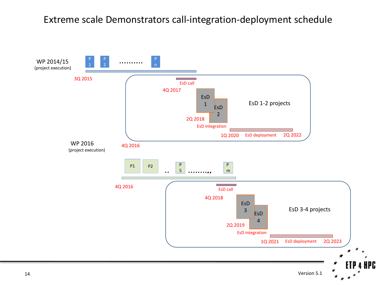### Extreme scale Demonstrators call-integration-deployment schedule

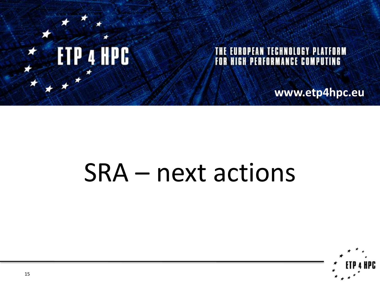

## THE EUROPEAN TECHNOLOGY PLATFORM FOR HIGH PERFORMANCE COMPUTING

**www.etp4hpc.eu**

# SRA – next actions

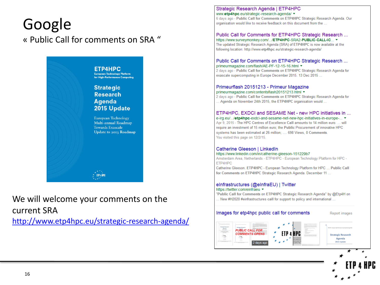## Google « Public Call for comments on SRA "



We will welcome your comments on the current SRA

<http://www.etp4hpc.eu/strategic-research-agenda/>

#### Strategic Research Agenda | ETP4HPC www.etp4hpc.eu/strategic-research-agenda/

6 days ago - Public Call for Comments on ETP4HPC Strategic Research Agenda. Our organisation would like to receive feedback on this document from the ...

### Public Call for Comments for ETP4HPC Strategic Research ...

https://www.surveymonkey.com/.../ETP4HPC-SRA2-PUBLIC-CALL4C... ▼ The updated Strategic Research Agenda (SRA) of ETP4HPC is now available at the following location: http://www.etp4hpc.eu/strategic-research-agenda/

### Public Call for Comments on ETP4HPC Strategic Research ... primeurmagazine.com/flash/AE-PF-12-15-16.html ▼

2 days ago - Public Call for Comments on ETP4HPC Strategic Research Agenda for exascale supercomputing in Europe December 2015. 13 Dec 2015...

#### Primeurflash 20151213 - Primeur Magazine primeurmagazine.com/contentsflash20151213.html ▼

2 days ago - Public Call for Comments on ETP4HPC Strategic Research Agenda for ... Agenda on November 24th 2015, the ETP4HPC organisation would ...

### ETP4HPC, EXDCI and SESAME Net - new HPC initiatives in ...

e-irg.eu/.../etp4hpc-exdci-and-sesame-net-new-hpc-initiatives-in-europe-... ▼ Apr 9, 2015 - The HPC Centres of Excellence Call amounts to 14 million euro. ... will require an investment of 15 million euro; the Public Procurement of innovative HPC systems has been estimated at 26 million; .... 698 Views, 0 Comments. You visited this page on 12/2/15.

#### Catherine Gleeson | LinkedIn https://www.linkedin.com/in/catherine-gleeson-151229b7

Amsterdam Area, Netherlands - ETP4HPC - European Technology Platform for HPC -ETP4HPC

Catherine Gleeson. ETP4HPC - European Technology Platform for HPC ... Public Call for Comments on ETP4HPC Strategic Research Agenda. December 11 ...

### einfrastructures (@einfraEU) | Twitter

#### https://twitter.com/einfraeu

"Public Call for Comments on ETP4HPC Strategic Research Agenda" by @Etp4H on .. New #H2020 #einfrastructures call for support to policy and international ...

Images for etp4hpc public call for comments

**Report images** 

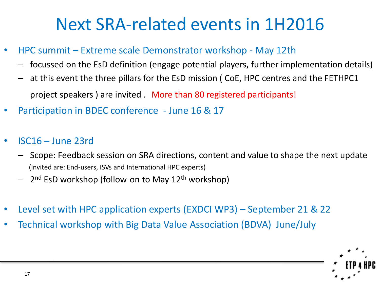# Next SRA-related events in 1H2016

- HPC summit Extreme scale Demonstrator workshop May 12th
	- focussed on the EsD definition (engage potential players, further implementation details)
	- at this event the three pillars for the EsD mission ( CoE, HPC centres and the FETHPC1 project speakers ) are invited . More than 80 registered participants!
	- Participation in BDEC conference June 16 & 17
- ISC16 June 23rd
	- Scope: Feedback session on SRA directions, content and value to shape the next update (Invited are: End-users, ISVs and International HPC experts)
	- 2<sup>nd</sup> EsD workshop (follow-on to May 12<sup>th</sup> workshop)
- Level set with HPC application experts (EXDCI WP3) September 21 & 22
- Technical workshop with Big Data Value Association (BDVA) June/July

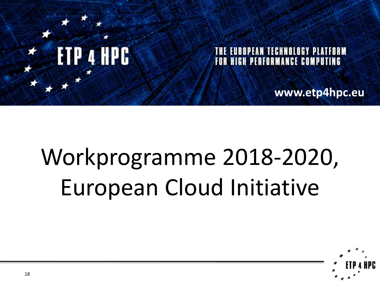

## **EUROPEAN TECHNOLOGY PLATFORM FOR HIGH PERFORMANCE COMPUTING**

**www.etp4hpc.eu**

# Workprogramme 2018-2020, European Cloud Initiative

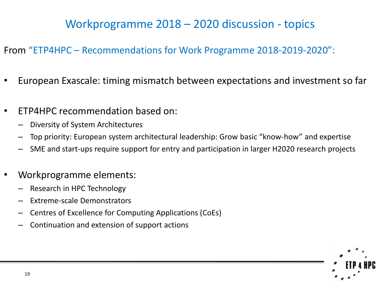## Workprogramme 2018 – 2020 discussion - topics

## From "ETP4HPC – Recommendations for Work Programme 2018-2019-2020":

- European Exascale: timing mismatch between expectations and investment so far
- ETP4HPC recommendation based on:
	- Diversity of System Architectures
	- Top priority: European system architectural leadership: Grow basic "know-how" and expertise
	- SME and start-ups require support for entry and participation in larger H2020 research projects
- Workprogramme elements:
	- Research in HPC Technology
	- Extreme-scale Demonstrators
	- Centres of Excellence for Computing Applications (CoEs)
	- Continuation and extension of support actions

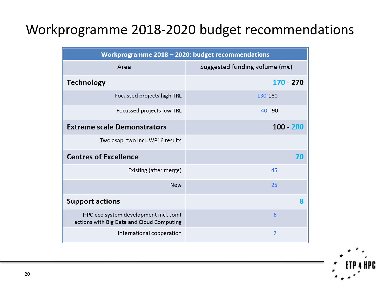## Workprogramme 2018-2020 budget recommendations

| Workprogramme 2018 - 2020: budget recommendations                                   |                                          |  |  |  |  |  |  |  |  |
|-------------------------------------------------------------------------------------|------------------------------------------|--|--|--|--|--|--|--|--|
| Area                                                                                | Suggested funding volume (m $\epsilon$ ) |  |  |  |  |  |  |  |  |
| <b>Technology</b>                                                                   | 170 - 270                                |  |  |  |  |  |  |  |  |
| Focussed projects high TRL                                                          | 130-180                                  |  |  |  |  |  |  |  |  |
| Focussed projects low TRL                                                           | $40 - 90$                                |  |  |  |  |  |  |  |  |
| <b>Extreme scale Demonstrators</b>                                                  | $100 - 200$                              |  |  |  |  |  |  |  |  |
| Two asap, two incl. WP16 results                                                    |                                          |  |  |  |  |  |  |  |  |
| <b>Centres of Excellence</b>                                                        | 70                                       |  |  |  |  |  |  |  |  |
| Existing (after merge)                                                              | 45                                       |  |  |  |  |  |  |  |  |
| <b>New</b>                                                                          | 25                                       |  |  |  |  |  |  |  |  |
| <b>Support actions</b>                                                              | 8                                        |  |  |  |  |  |  |  |  |
| HPC eco system development incl. Joint<br>actions with Big Data and Cloud Computing | 6                                        |  |  |  |  |  |  |  |  |
| International cooperation                                                           | $\overline{2}$                           |  |  |  |  |  |  |  |  |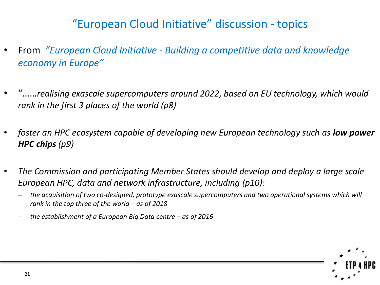## "European Cloud Initiative" discussion - topics

- From *"European Cloud Initiative - Building a competitive data and knowledge economy in Europe"*
- "……*realising exascale supercomputers around 2022, based on EU technology, which would rank in the first 3 places of the world (p8)*
- foster an HPC ecosystem capable of developing new European technology such as **low power** *HPC chips (p9)*
- *The Commission and participating Member States should develop and deploy a large scale European HPC, data and network infrastructure, including (p10):* 
	- *the acquisition of two co-designed, prototype exascale supercomputers and two operational systems which will rank in the top three of the world – as of 2018*
	- *the establishment of a European Big Data centre – as of 2016*

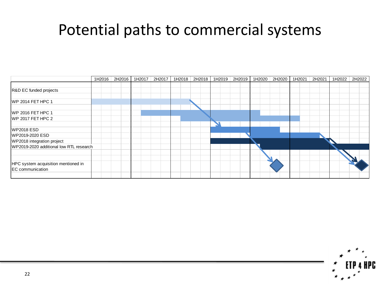# Potential paths to commercial systems

|                                         | 1H2016 | 2H2016 | 1H2017 | 2H2017 | 1H2018 2H2018 1H2019 | 2H2019 | 1H2020 | 2H2020 | 1H2021 | 2H2021 | 1H2022 | 2H2022 |
|-----------------------------------------|--------|--------|--------|--------|----------------------|--------|--------|--------|--------|--------|--------|--------|
|                                         |        |        |        |        |                      |        |        |        |        |        |        |        |
| R&D EC funded projects                  |        |        |        |        |                      |        |        |        |        |        |        |        |
|                                         |        |        |        |        |                      |        |        |        |        |        |        |        |
| WP 2014 FET HPC 1                       |        |        |        |        |                      |        |        |        |        |        |        |        |
|                                         |        |        |        |        |                      |        |        |        |        |        |        |        |
| WP 2016 FET HPC 1                       |        |        |        |        |                      |        |        |        |        |        |        |        |
| WP 2017 FET HPC 2                       |        |        |        |        |                      |        |        |        |        |        |        |        |
|                                         |        |        |        |        |                      |        |        |        |        |        |        |        |
| <b>WP2018 ESD</b>                       |        |        |        |        |                      |        |        |        |        |        |        |        |
| WP2019-2020 ESD                         |        |        |        |        |                      |        |        |        |        |        |        |        |
| WP2018 integration project              |        |        |        |        |                      |        |        |        |        |        |        |        |
| WP2019-2020 additional low RTL research |        |        |        |        |                      |        |        |        |        |        |        |        |
|                                         |        |        |        |        |                      |        |        |        |        |        |        |        |
|                                         |        |        |        |        |                      |        |        |        |        |        |        |        |
| HPC system acquisition mentioned in     |        |        |        |        |                      |        |        |        |        |        |        |        |
| <b>EC</b> communication                 |        |        |        |        |                      |        |        |        |        |        |        |        |
|                                         |        |        |        |        |                      |        |        |        |        |        |        |        |